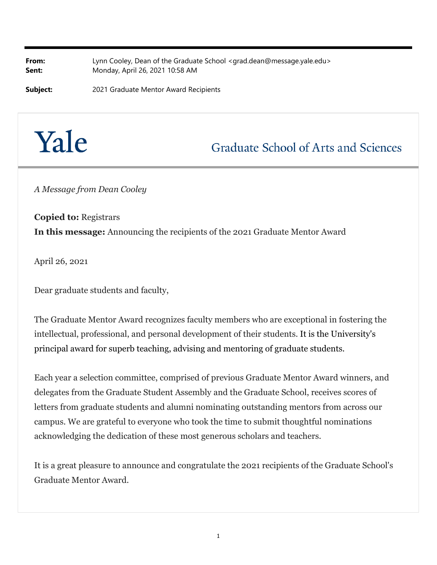**From:** Lynn Cooley, Dean of the Graduate School <grad.dean@message.yale.edu> **Sent:** Monday, April 26, 2021 10:58 AM

**Subject:** 2021 Graduate Mentor Award Recipients



**Graduate School of Arts and Sciences** 

*A Message from Dean Cooley*

**Copied to:** Registrars **In this message:** Announcing the recipients of the 2021 Graduate Mentor Award

April 26, 2021

Dear graduate students and faculty,

The Graduate Mentor Award recognizes faculty members who are exceptional in fostering the intellectual, professional, and personal development of their students. It is the University's principal award for superb teaching, advising and mentoring of graduate students.

Each year a selection committee, comprised of previous Graduate Mentor Award winners, and delegates from the Graduate Student Assembly and the Graduate School, receives scores of letters from graduate students and alumni nominating outstanding mentors from across our campus. We are grateful to everyone who took the time to submit thoughtful nominations acknowledging the dedication of these most generous scholars and teachers.

It is a great pleasure to announce and congratulate the 2021 recipients of the Graduate School's Graduate Mentor Award.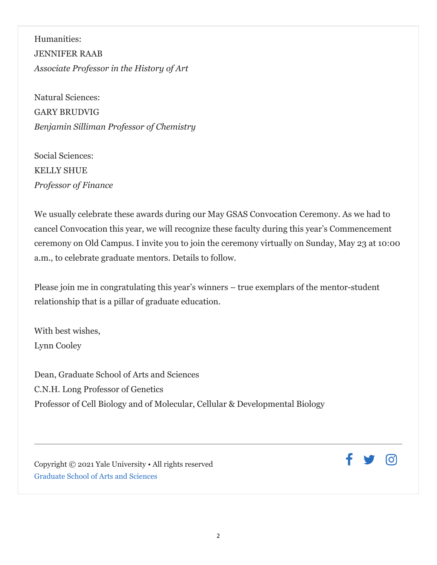Humanities: JENNIFER RAAB *Associate Professor in the History of Art*

Natural Sciences: GARY BRUDVIG *Benjamin Silliman Professor of Chemistry*

Social Sciences: KELLY SHUE *Professor of Finance*

We usually celebrate these awards during our May GSAS Convocation Ceremony. As we had to cancel Convocation this year, we will recognize these faculty during this year's Commencement ceremony on Old Campus. I invite you to join the ceremony virtually on Sunday, May 23 at 10:00 a.m., to celebrate graduate mentors. Details to follow.

Please join me in congratulating this year's winners – true exemplars of the mentor-student relationship that is a pillar of graduate education.

With best wishes, Lynn Cooley

Dean, Graduate School of Arts and Sciences C.N.H. Long Professor of Genetics Professor of Cell Biology and of Molecular, Cellular & Developmental Biology

Copyright © 2021 Yale University • All rights reserved Graduate School of Arts and Sciences